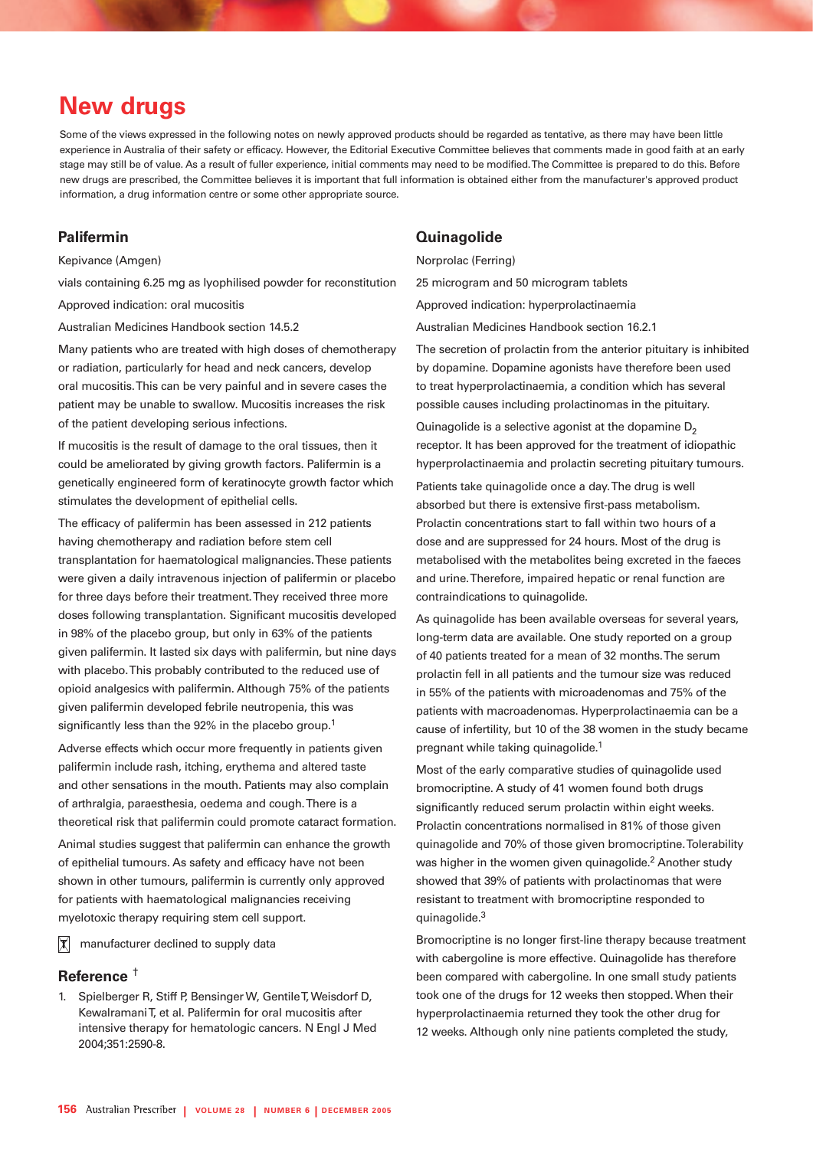# **New drugs**

Some of the views expressed in the following notes on newly approved products should be regarded as tentative, as there may have been little experience in Australia of their safety or efficacy. However, the Editorial Executive Committee believes that comments made in good faith at an early stage may still be of value. As a result of fuller experience, initial comments may need to be modified. The Committee is prepared to do this. Before new drugs are prescribed, the Committee believes it is important that full information is obtained either from the manufacturer's approved product information, a drug information centre or some other appropriate source.

## **Palifermin**

Kepivance (Amgen)

vials containing 6.25 mg as lyophilised powder for reconstitution Approved indication: oral mucositis

Australian Medicines Handbook section 14.5.2

Many patients who are treated with high doses of chemotherapy or radiation, particularly for head and neck cancers, develop oral mucositis. This can be very painful and in severe cases the patient may be unable to swallow. Mucositis increases the risk of the patient developing serious infections.

If mucositis is the result of damage to the oral tissues, then it could be ameliorated by giving growth factors. Palifermin is a genetically engineered form of keratinocyte growth factor which stimulates the development of epithelial cells.

The efficacy of palifermin has been assessed in 212 patients having chemotherapy and radiation before stem cell transplantation for haematological malignancies. These patients were given a daily intravenous injection of palifermin or placebo for three days before their treatment. They received three more doses following transplantation. Significant mucositis developed in 98% of the placebo group, but only in 63% of the patients given palifermin. It lasted six days with palifermin, but nine days with placebo. This probably contributed to the reduced use of opioid analgesics with palifermin. Although 75% of the patients given palifermin developed febrile neutropenia, this was significantly less than the 92% in the placebo group.<sup>1</sup>

Adverse effects which occur more frequently in patients given palifermin include rash, itching, erythema and altered taste and other sensations in the mouth. Patients may also complain of arthralgia, paraesthesia, oedema and cough. There is a theoretical risk that palifermin could promote cataract formation.

Animal studies suggest that palifermin can enhance the growth of epithelial tumours. As safety and efficacy have not been shown in other tumours, palifermin is currently only approved for patients with haematological malignancies receiving myelotoxic therapy requiring stem cell support.

 $|\mathbf{x}|$ manufacturer declined to supply data

#### **Reference** †

1. Spielberger R, Stiff P, Bensinger W, Gentile T, Weisdorf D, Kewalramani T, et al. Palifermin for oral mucositis after intensive therapy for hematologic cancers. N Engl J Med 2004;351:2590-8.

#### **Quinagolide**

Norprolac (Ferring)

25 microgram and 50 microgram tablets

Approved indication: hyperprolactinaemia

Australian Medicines Handbook section 16.2.1

The secretion of prolactin from the anterior pituitary is inhibited by dopamine. Dopamine agonists have therefore been used to treat hyperprolactinaemia, a condition which has several possible causes including prolactinomas in the pituitary.

Quinagolide is a selective agonist at the dopamine  $D<sub>2</sub>$ receptor. It has been approved for the treatment of idiopathic hyperprolactinaemia and prolactin secreting pituitary tumours.

Patients take quinagolide once a day. The drug is well absorbed but there is extensive first-pass metabolism. Prolactin concentrations start to fall within two hours of a dose and are suppressed for 24 hours. Most of the drug is metabolised with the metabolites being excreted in the faeces and urine. Therefore, impaired hepatic or renal function are contraindications to quinagolide.

As quinagolide has been available overseas for several years, long-term data are available. One study reported on a group of 40 patients treated for a mean of 32 months. The serum prolactin fell in all patients and the tumour size was reduced in 55% of the patients with microadenomas and 75% of the patients with macroadenomas. Hyperprolactinaemia can be a cause of infertility, but 10 of the 38 women in the study became pregnant while taking quinagolide.<sup>1</sup>

Most of the early comparative studies of quinagolide used bromocriptine. A study of 41 women found both drugs significantly reduced serum prolactin within eight weeks. Prolactin concentrations normalised in 81% of those given quinagolide and 70% of those given bromocriptine. Tolerability was higher in the women given guinagolide.<sup>2</sup> Another study showed that 39% of patients with prolactinomas that were resistant to treatment with bromocriptine responded to quinagolide.3

Bromocriptine is no longer first-line therapy because treatment with cabergoline is more effective. Quinagolide has therefore been compared with cabergoline. In one small study patients took one of the drugs for 12 weeks then stopped. When their hyperprolactinaemia returned they took the other drug for 12 weeks. Although only nine patients completed the study,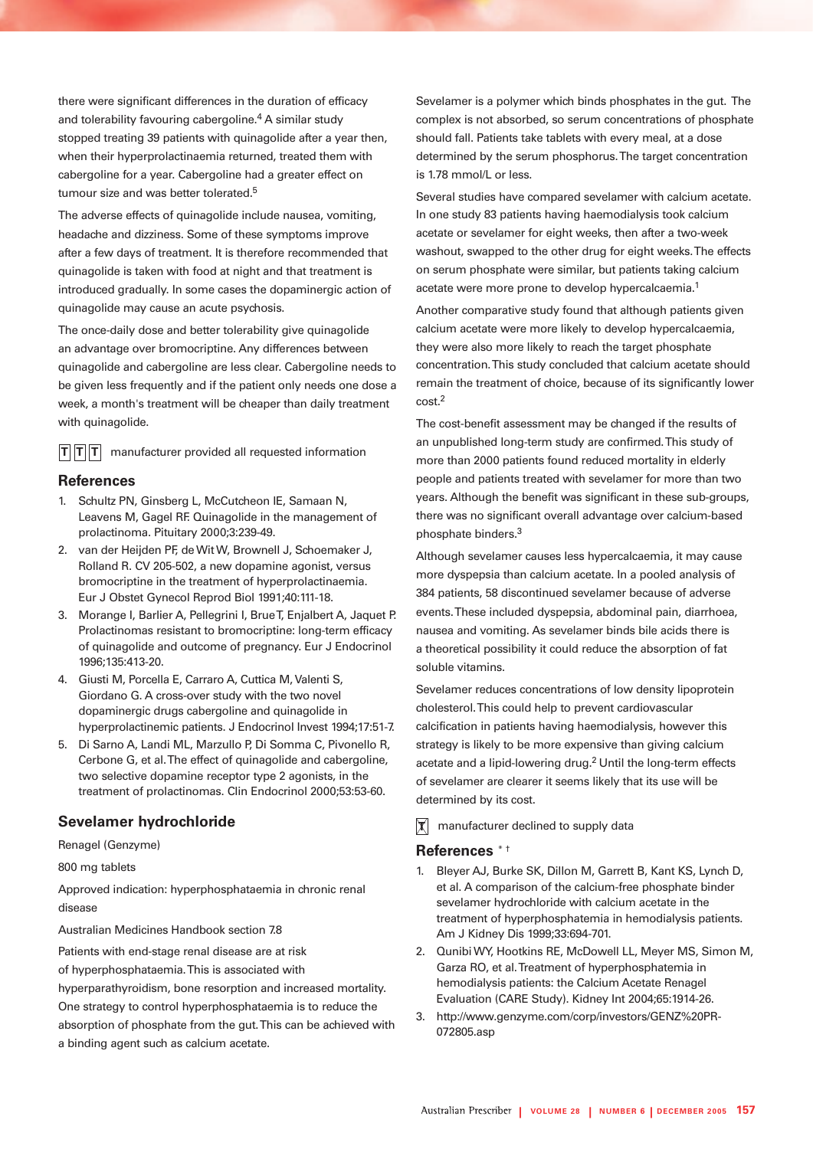there were significant differences in the duration of efficacy and tolerability favouring cabergoline.<sup>4</sup> A similar study stopped treating 39 patients with quinagolide after a year then, when their hyperprolactinaemia returned, treated them with cabergoline for a year. Cabergoline had a greater effect on tumour size and was better tolerated.<sup>5</sup>

The adverse effects of quinagolide include nausea, vomiting, headache and dizziness. Some of these symptoms improve after a few days of treatment. It is therefore recommended that quinagolide is taken with food at night and that treatment is introduced gradually. In some cases the dopaminergic action of quinagolide may cause an acute psychosis.

The once-daily dose and better tolerability give quinagolide an advantage over bromocriptine. Any differences between quinagolide and cabergoline are less clear. Cabergoline needs to be given less frequently and if the patient only needs one dose a week, a month's treatment will be cheaper than daily treatment with quinagolide.

 $\mathbf{T}$  $\mathbf{T}$  manufacturer provided all requested information

#### **References**

- 1. Schultz PN, Ginsberg L, McCutcheon IE, Samaan N, Leavens M, Gagel RF. Quinagolide in the management of prolactinoma. Pituitary 2000;3:239-49.
- 2. van der Heijden PF, de Wit W, Brownell J, Schoemaker J, Rolland R. CV 205-502, a new dopamine agonist, versus bromocriptine in the treatment of hyperprolactinaemia. Eur J Obstet Gynecol Reprod Biol 1991;40:111-18.
- 3. Morange I, Barlier A, Pellegrini I, Brue T, Enjalbert A, Jaquet P. Prolactinomas resistant to bromocriptine: long-term efficacy of quinagolide and outcome of pregnancy. Eur J Endocrinol 1996;135:413-20.
- 4. Giusti M, Porcella E, Carraro A, Cuttica M, Valenti S, Giordano G. A cross-over study with the two novel dopaminergic drugs cabergoline and quinagolide in hyperprolactinemic patients. J Endocrinol Invest 1994;17:51-7.
- 5. Di Sarno A, Landi ML, Marzullo P, Di Somma C, Pivonello R, Cerbone G, et al. The effect of quinagolide and cabergoline, two selective dopamine receptor type 2 agonists, in the treatment of prolactinomas. Clin Endocrinol 2000;53:53-60.

## **Sevelamer hydrochloride**

Renagel (Genzyme)

800 mg tablets

Approved indication: hyperphosphataemia in chronic renal disease

Australian Medicines Handbook section 7.8

Patients with end-stage renal disease are at risk

of hyperphosphataemia. This is associated with

hyperparathyroidism, bone resorption and increased mortality. One strategy to control hyperphosphataemia is to reduce the absorption of phosphate from the gut. This can be achieved with a binding agent such as calcium acetate.

Sevelamer is a polymer which binds phosphates in the gut. The complex is not absorbed, so serum concentrations of phosphate should fall. Patients take tablets with every meal, at a dose determined by the serum phosphorus. The target concentration is 1.78 mmol/L or less.

Several studies have compared sevelamer with calcium acetate. In one study 83 patients having haemodialysis took calcium acetate or sevelamer for eight weeks, then after a two-week washout, swapped to the other drug for eight weeks. The effects on serum phosphate were similar, but patients taking calcium acetate were more prone to develop hypercalcaemia.1

Another comparative study found that although patients given calcium acetate were more likely to develop hypercalcaemia, they were also more likely to reach the target phosphate concentration. This study concluded that calcium acetate should remain the treatment of choice, because of its significantly lower cost.2

The cost-benefit assessment may be changed if the results of an unpublished long-term study are confirmed. This study of more than 2000 patients found reduced mortality in elderly people and patients treated with sevelamer for more than two years. Although the benefit was significant in these sub-groups, there was no significant overall advantage over calcium-based phosphate binders.3

Although sevelamer causes less hypercalcaemia, it may cause more dyspepsia than calcium acetate. In a pooled analysis of 384 patients, 58 discontinued sevelamer because of adverse events. These included dyspepsia, abdominal pain, diarrhoea, nausea and vomiting. As sevelamer binds bile acids there is a theoretical possibility it could reduce the absorption of fat soluble vitamins.

Sevelamer reduces concentrations of low density lipoprotein cholesterol. This could help to prevent cardiovascular calcification in patients having haemodialysis, however this strategy is likely to be more expensive than giving calcium acetate and a lipid-lowering drug.<sup>2</sup> Until the long-term effects of sevelamer are clearer it seems likely that its use will be determined by its cost.

**T** manufacturer declined to supply data

## **References** \* †

- 1. Bleyer AJ, Burke SK, Dillon M, Garrett B, Kant KS, Lynch D, et al. A comparison of the calcium-free phosphate binder sevelamer hydrochloride with calcium acetate in the treatment of hyperphosphatemia in hemodialysis patients. Am J Kidney Dis 1999;33:694-701.
- 2. Qunibi WY, Hootkins RE, McDowell LL, Meyer MS, Simon M, Garza RO, et al. Treatment of hyperphosphatemia in hemodialysis patients: the Calcium Acetate Renagel Evaluation (CARE Study). Kidney Int 2004;65:1914-26.
- 3. http://www.genzyme.com/corp/investors/GENZ%20PR-072805.asp